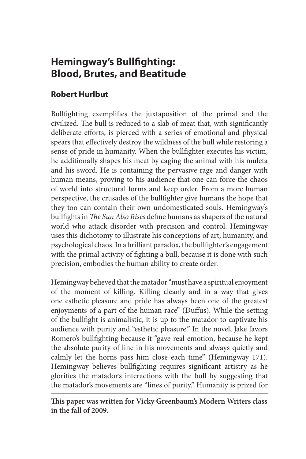# **Hemingway's Bullfighting: Blood, Brutes, and Beatitude**

## **Robert Hurlbut**

Bullfighting exemplifies the juxtaposition of the primal and the civilized. The bull is reduced to a slab of meat that, with significantly deliberate efforts, is pierced with a series of emotional and physical spears that effectively destroy the wildness of the bull while restoring a sense of pride in humanity. When the bullfighter executes his victim, he additionally shapes his meat by caging the animal with his muleta and his sword. He is containing the pervasive rage and danger with human means, proving to his audience that one can force the chaos of world into structural forms and keep order. From a more human perspective, the crusades of the bullfighter give humans the hope that they too can contain their own undomesticated souls. Hemingway's bullfights in *The Sun Also Rises* define humans as shapers of the natural world who attack disorder with precision and control. Hemingway uses this dichotomy to illustrate his conceptions of art, humanity, and psychological chaos. In a brilliant paradox, the bullfighter's engagement with the primal activity of fighting a bull, because it is done with such precision, embodies the human ability to create order.

Hemingway believed that the matador "must have a spiritual enjoyment of the moment of killing. Killing cleanly and in a way that gives one esthetic pleasure and pride has always been one of the greatest enjoyments of a part of the human race" (Duffus). While the setting of the bullfight is animalistic, it is up to the matador to captivate his audience with purity and "esthetic pleasure." In the novel, Jake favors Romero's bullfighting because it "gave real emotion, because he kept the absolute purity of line in his movements and always quietly and calmly let the horns pass him close each time" (Hemingway 171). Hemingway believes bullfighting requires significant artistry as he glorifies the matador's interactions with the bull by suggesting that the matador's movements are "lines of purity." Humanity is prized for

**This paper was written for Vicky Greenbaum's Modern Writers class in the fall of 2009.**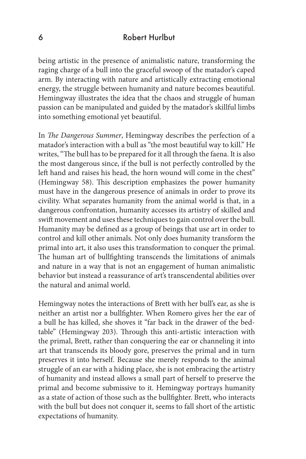### 6 Robert Hurlbut

being artistic in the presence of animalistic nature, transforming the raging charge of a bull into the graceful swoop of the matador's caped arm. By interacting with nature and artistically extracting emotional energy, the struggle between humanity and nature becomes beautiful. Hemingway illustrates the idea that the chaos and struggle of human passion can be manipulated and guided by the matador's skillful limbs into something emotional yet beautiful.

In *The Dangerous Summer*, Hemingway describes the perfection of a matador's interaction with a bull as "the most beautiful way to kill." He writes, "The bull has to be prepared for it all through the faena. It is also the most dangerous since, if the bull is not perfectly controlled by the left hand and raises his head, the horn wound will come in the chest" (Hemingway 58). This description emphasizes the power humanity must have in the dangerous presence of animals in order to prove its civility. What separates humanity from the animal world is that, in a dangerous confrontation, humanity accesses its artistry of skilled and swift movement and uses these techniques to gain control over the bull. Humanity may be defined as a group of beings that use art in order to control and kill other animals. Not only does humanity transform the primal into art, it also uses this transformation to conquer the primal. The human art of bullfighting transcends the limitations of animals and nature in a way that is not an engagement of human animalistic behavior but instead a reassurance of art's transcendental abilities over the natural and animal world.

Hemingway notes the interactions of Brett with her bull's ear, as she is neither an artist nor a bullfighter. When Romero gives her the ear of a bull he has killed, she shoves it "far back in the drawer of the bedtable" (Hemingway 203). Through this anti-artistic interaction with the primal, Brett, rather than conquering the ear or channeling it into art that transcends its bloody gore, preserves the primal and in turn preserves it into herself. Because she merely responds to the animal struggle of an ear with a hiding place, she is not embracing the artistry of humanity and instead allows a small part of herself to preserve the primal and become submissive to it. Hemingway portrays humanity as a state of action of those such as the bullfighter. Brett, who interacts with the bull but does not conquer it, seems to fall short of the artistic expectations of humanity.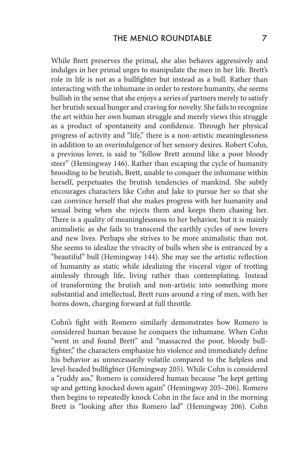While Brett preserves the primal, she also behaves aggressively and indulges in her primal urges to manipulate the men in her life. Brett's role in life is not as a bullfighter but instead as a bull. Rather than interacting with the inhumane in order to restore humanity, she seems bullish in the sense that she enjoys a series of partners merely to satisfy her brutish sexual hunger and craving for novelty. She fails to recognize the art within her own human struggle and merely views this struggle as a product of spontaneity and confidence. Through her physical progress of activity and "life," there is a non-artistic meaninglessness in addition to an overindulgence of her sensory desires. Robert Cohn, a previous lover, is said to "follow Brett around like a poor bloody steer" (Hemingway 146). Rather than escaping the cycle of humanity brooding to be brutish, Brett, unable to conquer the inhumane within herself, perpetuates the brutish tendencies of mankind. She subtly encourages characters like Cohn and Jake to pursue her so that she can convince herself that she makes progress with her humanity and sexual being when she rejects them and keeps them chasing her. There is a quality of meaninglessness to her behavior, but it is mainly animalistic as she fails to transcend the earthly cycles of new lovers and new lives. Perhaps she strives to be more animalistic than not. She seems to idealize the vivacity of bulls when she is entranced by a "beautiful" bull (Hemingway 144). She may see the artistic reflection of humanity as static while idealizing the visceral vigor of trotting aimlessly through life, living rather than contemplating. Instead of transforming the brutish and non-artistic into something more substantial and intellectual, Brett runs around a ring of men, with her horns down, charging forward at full throttle.

Cohn's fight with Romero similarly demonstrates how Romero is considered human because he conquers the inhumane. When Cohn "went in and found Brett" and "massacred the poor, bloody bullfighter," the characters emphasize his violence and immediately define his behavior as unnecessarily volatile compared to the helpless and level-headed bullfighter (Hemingway 205). While Cohn is considered a "ruddy ass," Romero is considered human because "he kept getting up and getting knocked down again" (Hemingway 205–206). Romero then begins to repeatedly knock Cohn in the face and in the morning Brett is "looking after this Romero lad" (Hemingway 206). Cohn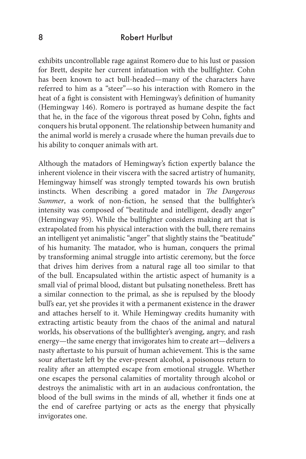#### 8 Robert Hurlbut

exhibits uncontrollable rage against Romero due to his lust or passion for Brett, despite her current infatuation with the bullfighter. Cohn has been known to act bull-headed—many of the characters have referred to him as a "steer"—so his interaction with Romero in the heat of a fight is consistent with Hemingway's definition of humanity (Hemingway 146). Romero is portrayed as humane despite the fact that he, in the face of the vigorous threat posed by Cohn, fights and conquers his brutal opponent. The relationship between humanity and the animal world is merely a crusade where the human prevails due to his ability to conquer animals with art.

Although the matadors of Hemingway's fiction expertly balance the inherent violence in their viscera with the sacred artistry of humanity, Hemingway himself was strongly tempted towards his own brutish instincts. When describing a gored matador in *The Dangerous Summer*, a work of non-fiction, he sensed that the bullfighter's intensity was composed of "beatitude and intelligent, deadly anger" (Hemingway 95). While the bullfighter considers making art that is extrapolated from his physical interaction with the bull, there remains an intelligent yet animalistic "anger" that slightly stains the "beatitude" of his humanity. The matador, who is human, conquers the primal by transforming animal struggle into artistic ceremony, but the force that drives him derives from a natural rage all too similar to that of the bull. Encapsulated within the artistic aspect of humanity is a small vial of primal blood, distant but pulsating nonetheless. Brett has a similar connection to the primal, as she is repulsed by the bloody bull's ear, yet she provides it with a permanent existence in the drawer and attaches herself to it. While Hemingway credits humanity with extracting artistic beauty from the chaos of the animal and natural worlds, his observations of the bullfighter's avenging, angry, and rash energy—the same energy that invigorates him to create art—delivers a nasty aftertaste to his pursuit of human achievement. This is the same sour aftertaste left by the ever-present alcohol, a poisonous return to reality after an attempted escape from emotional struggle. Whether one escapes the personal calamities of mortality through alcohol or destroys the animalistic with art in an audacious confrontation, the blood of the bull swims in the minds of all, whether it finds one at the end of carefree partying or acts as the energy that physically invigorates one.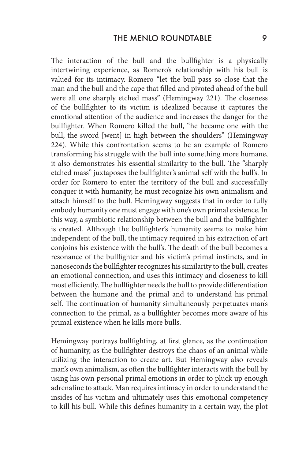The interaction of the bull and the bullfighter is a physically intertwining experience, as Romero's relationship with his bull is valued for its intimacy. Romero "let the bull pass so close that the man and the bull and the cape that filled and pivoted ahead of the bull were all one sharply etched mass" (Hemingway 221). The closeness of the bullfighter to its victim is idealized because it captures the emotional attention of the audience and increases the danger for the bullfighter. When Romero killed the bull, "he became one with the bull, the sword [went] in high between the shoulders" (Hemingway 224). While this confrontation seems to be an example of Romero transforming his struggle with the bull into something more humane, it also demonstrates his essential similarity to the bull. The "sharply etched mass" juxtaposes the bullfighter's animal self with the bull's. In order for Romero to enter the territory of the bull and successfully conquer it with humanity, he must recognize his own animalism and attach himself to the bull. Hemingway suggests that in order to fully embody humanity one must engage with one's own primal existence. In this way, a symbiotic relationship between the bull and the bullfighter is created. Although the bullfighter's humanity seems to make him independent of the bull, the intimacy required in his extraction of art conjoins his existence with the bull's. The death of the bull becomes a resonance of the bullfighter and his victim's primal instincts, and in nanoseconds the bullfighter recognizes his similarity to the bull, creates an emotional connection, and uses this intimacy and closeness to kill most efficiently. The bullfighter needs the bull to provide differentiation between the humane and the primal and to understand his primal self. The continuation of humanity simultaneously perpetuates man's connection to the primal, as a bullfighter becomes more aware of his primal existence when he kills more bulls.

Hemingway portrays bullfighting, at first glance, as the continuation of humanity, as the bullfighter destroys the chaos of an animal while utilizing the interaction to create art. But Hemingway also reveals man's own animalism, as often the bullfighter interacts with the bull by using his own personal primal emotions in order to pluck up enough adrenaline to attack. Man requires intimacy in order to understand the insides of his victim and ultimately uses this emotional competency to kill his bull. While this defines humanity in a certain way, the plot